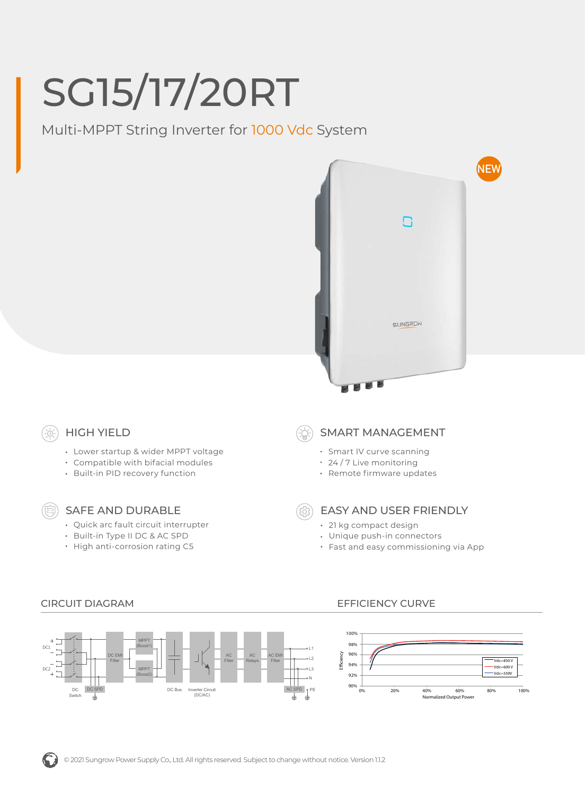# SG15/17/20RT

Multi-MPPT String Inverter for 1000 Vdc System



### HIGH YIELD -6-

- Lower startup & wider MPPT voltage
- Compatible with bifacial modules
- Built-in PID recovery function

# SAFE AND DURABLE

- Ouick arc fault circuit interrupter
- Built-in Type II DC & AC SPD
- High anti-corrosion rating C5

### SMART MANAGEMENT

- Smart IV curve scanning
- 24 / 7 Live monitoring
- Remote firmware updates

EASY AND USER FRIENDLY

- 21 kg compact design
- Unique push-in connectors
- Fast and easy commissioning via App



## CIRCUIT DIAGRAM EFFICIENCY CURVE